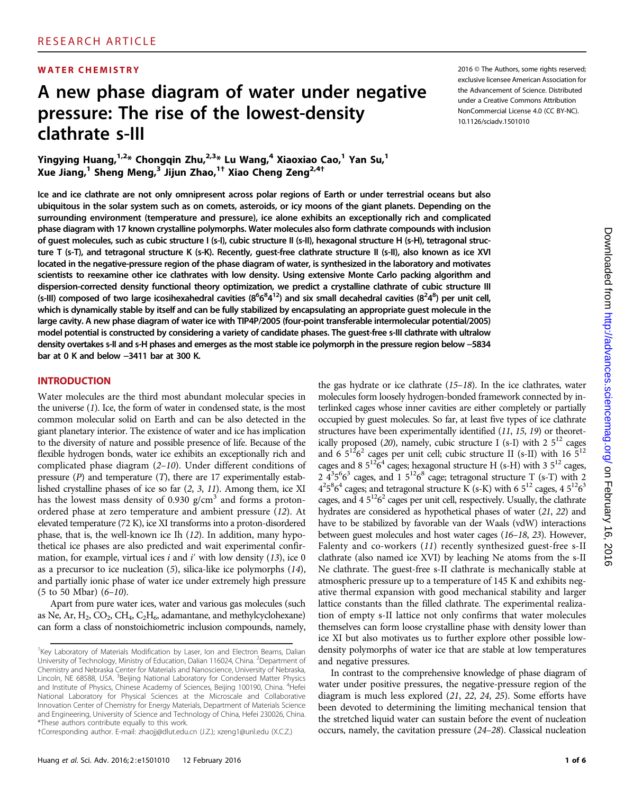## A new phase diagram of water under negative pressure: The rise of the lowest-density clathrate s-III

Yingying Huang,  $1.2*$  Chongqin Zhu,  $2.3*$  Lu Wang, <sup>4</sup> Xiaoxiao Cao, <sup>1</sup> Yan Su, <sup>1</sup> Xue Jiang,<sup>1</sup> Sheng Meng,<sup>3</sup> Jijun Zhao,1† Xiao Cheng Zeng2,4†

WATER CHEMISTRY **WATER CHEMISTRY** 2016 CHEMISTRY exclusive licensee American Association for the Advancement of Science. Distributed under a Creative Commons Attribution NonCommercial License 4.0 (CC BY-NC). 10.1126/sciadv.1501010

Ice and ice clathrate are not only omnipresent across polar regions of Earth or under terrestrial oceans but also ubiquitous in the solar system such as on comets, asteroids, or icy moons of the giant planets. Depending on the surrounding environment (temperature and pressure), ice alone exhibits an exceptionally rich and complicated phase diagram with 17 known crystalline polymorphs. Water molecules also form clathrate compounds with inclusion of guest molecules, such as cubic structure I (s-I), cubic structure II (s-II), hexagonal structure H (s-H), tetragonal structure T (s-T), and tetragonal structure K (s-K). Recently, guest-free clathrate structure II (s-II), also known as ice XVI located in the negative-pressure region of the phase diagram of water, is synthesized in the laboratory and motivates scientists to reexamine other ice clathrates with low density. Using extensive Monte Carlo packing algorithm and dispersion-corrected density functional theory optimization, we predict a crystalline clathrate of cubic structure III (s-III) composed of two large icosihexahedral cavities ( $8^6 6^8 4^{12}$ ) and six small decahedral cavities ( $8^2 4^8$ ) per unit cell, which is dynamically stable by itself and can be fully stabilized by encapsulating an appropriate guest molecule in the large cavity. A new phase diagram of water ice with TIP4P/2005 (four-point transferable intermolecular potential/2005) model potential is constructed by considering a variety of candidate phases. The guest-free s-III clathrate with ultralow density overtakes s-II and s-H phases and emerges as the most stable ice polymorph in the pressure region below −5834 bar at 0 K and below −3411 bar at 300 K.

#### INTRODUCTION

Water molecules are the third most abundant molecular species in the universe (1). Ice, the form of water in condensed state, is the most common molecular solid on Earth and can be also detected in the giant planetary interior. The existence of water and ice has implication to the diversity of nature and possible presence of life. Because of the flexible hydrogen bonds, water ice exhibits an exceptionally rich and complicated phase diagram (2–10). Under different conditions of pressure  $(P)$  and temperature  $(T)$ , there are 17 experimentally established crystalline phases of ice so far (2, 3, 11). Among them, ice XI has the lowest mass density of 0.930  $g/cm<sup>3</sup>$  and forms a protonordered phase at zero temperature and ambient pressure (12). At elevated temperature (72 K), ice XI transforms into a proton-disordered phase, that is, the well-known ice Ih (12). In addition, many hypothetical ice phases are also predicted and wait experimental confirmation, for example, virtual ices  $i$  and  $i'$  with low density (13), ice 0 as a precursor to ice nucleation (5), silica-like ice polymorphs (14), and partially ionic phase of water ice under extremely high pressure  $(5 \text{ to } 50 \text{ Mbar})$   $(6-10)$ .

Apart from pure water ices, water and various gas molecules (such as Ne, Ar,  $H_2$ ,  $CO_2$ ,  $CH_4$ ,  $C_2H_6$ , adamantane, and methylcyclohexane) can form a class of nonstoichiometric inclusion compounds, namely,

the gas hydrate or ice clathrate  $(15-18)$ . In the ice clathrates, water molecules form loosely hydrogen-bonded framework connected by interlinked cages whose inner cavities are either completely or partially occupied by guest molecules. So far, at least five types of ice clathrate structures have been experimentally identified (11, 15, 19) or theoretically proposed (20), namely, cubic structure I (s-I) with 2  $5^{12}$  cages and  $6.5^{12}6^2$  cages per unit cell; cubic structure II (s-II) with 16  $5^{12}$ cages and 8  $5^{12}6^4$  cages; hexagonal structure H (s-H) with 3  $5^{12}$  cages, 2  $4^{3}5^{6}6^{3}$  cages, and 1  $5^{12}6^{8}$  cage; tetragonal structure T (s-T) with 2  $4^{2}5^{8}6^{4}$  cages; and tetragonal structure K (s-K) with 6  $5^{12}$  cages, 4  $5^{12}6^{3}$ cages, and  $4.5^{12}6^2$  cages per unit cell, respectively. Usually, the clathrate hydrates are considered as hypothetical phases of water (21, 22) and have to be stabilized by favorable van der Waals (vdW) interactions between guest molecules and host water cages (16–18, 23). However, Falenty and co-workers (11) recently synthesized guest-free s-II clathrate (also named ice XVI) by leaching Ne atoms from the s-II Ne clathrate. The guest-free s-II clathrate is mechanically stable at atmospheric pressure up to a temperature of 145 K and exhibits negative thermal expansion with good mechanical stability and larger lattice constants than the filled clathrate. The experimental realization of empty s-II lattice not only confirms that water molecules themselves can form loose crystalline phase with density lower than ice XI but also motivates us to further explore other possible lowdensity polymorphs of water ice that are stable at low temperatures and negative pressures.

In contrast to the comprehensive knowledge of phase diagram of water under positive pressures, the negative-pressure region of the diagram is much less explored (21, 22, 24, 25). Some efforts have been devoted to determining the limiting mechanical tension that the stretched liquid water can sustain before the event of nucleation occurs, namely, the cavitation pressure (24–28). Classical nucleation

<sup>&</sup>lt;sup>1</sup>Key Laboratory of Materials Modification by Laser, Ion and Electron Beams, Dalian University of Technology, Ministry of Education, Dalian 116024, China. <sup>2</sup>Department of Chemistry and Nebraska Center for Materials and Nanoscience, University of Nebraska, Lincoln, NE 68588, USA. <sup>3</sup>Beijing National Laboratory for Condensed Matter Physics and Institute of Physics, Chinese Academy of Sciences, Beijing 100190, China. <sup>4</sup>Hefei National Laboratory for Physical Sciences at the Microscale and Collaborative Innovation Center of Chemistry for Energy Materials, Department of Materials Science and Engineering, University of Science and Technology of China, Hefei 230026, China. \*These authors contribute equally to this work.

*<sup>†</sup>*Corresponding author. E-mail: zhaojj@dlut.edu.cn (J.Z.); xzeng1@unl.edu (X.C.Z.)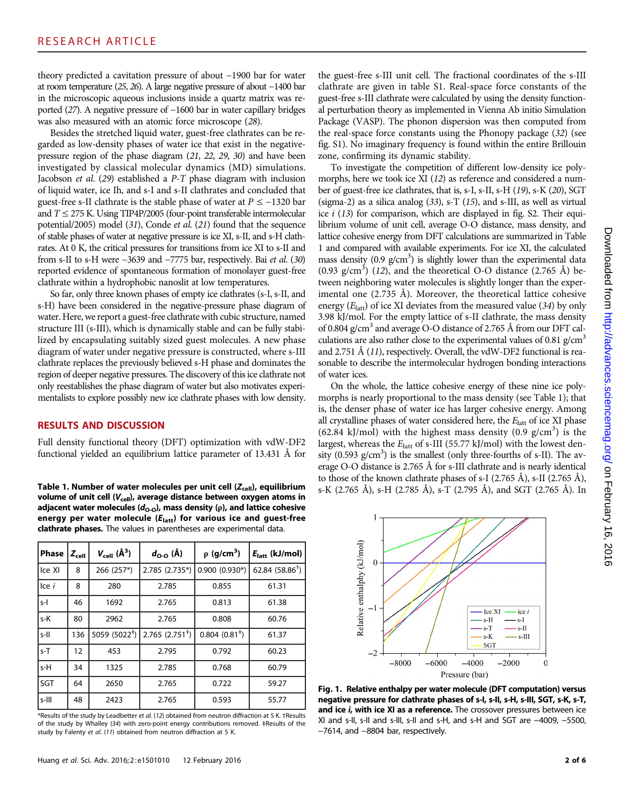theory predicted a cavitation pressure of about −1900 bar for water at room temperature (25, 26). A large negative pressure of about −1400 bar in the microscopic aqueous inclusions inside a quartz matrix was reported (27). A negative pressure of −1600 bar in water capillary bridges was also measured with an atomic force microscope (28).

Besides the stretched liquid water, guest-free clathrates can be regarded as low-density phases of water ice that exist in the negativepressure region of the phase diagram (21, 22, 29, 30) and have been investigated by classical molecular dynamics (MD) simulations. Jacobson et al. (29) established a P-T phase diagram with inclusion of liquid water, ice Ih, and s-I and s-II clathrates and concluded that guest-free s-II clathrate is the stable phase of water at  $P \le -1320$  bar and  $T \leq 275$  K. Using TIP4P/2005 (four-point transferable intermolecular potential/2005) model (31), Conde et al. (21) found that the sequence of stable phases of water at negative pressure is ice XI, s-II, and s-H clathrates. At 0 K, the critical pressures for transitions from ice XI to s-II and from s-II to s-H were −3639 and −7775 bar, respectively. Bai et al. (30) reported evidence of spontaneous formation of monolayer guest-free clathrate within a hydrophobic nanoslit at low temperatures.

So far, only three known phases of empty ice clathrates (s-I, s-II, and s-H) have been considered in the negative-pressure phase diagram of water. Here, we report a guest-free clathrate with cubic structure, named structure III (s-III), which is dynamically stable and can be fully stabilized by encapsulating suitably sized guest molecules. A new phase diagram of water under negative pressure is constructed, where s-III clathrate replaces the previously believed s-H phase and dominates the region of deeper negative pressures. The discovery of this ice clathrate not only reestablishes the phase diagram of water but also motivates experimentalists to explore possibly new ice clathrate phases with low density.

#### RESULTS AND DISCUSSION

Full density functional theory (DFT) optimization with vdW-DF2 functional yielded an equilibrium lattice parameter of 13.431 Å for

volume of unit cell  $(V_{cell})$ , average distance between oxygen atoms in adjacent water molecules ( $d_{\text{O-O}}$ ), mass density ( $\rho$ ), and lattice cohesive energy per water molecule  $(E<sub>latt</sub>)$  for various ice and guest-free clathrate phases. The values in parentheses are experimental data.

| <b>Phase</b> | $Z_{cell}$ | $V_{cell}(\AA^3)$         | $d_{\Omega0}$ (A)             | $\rho$ (g/cm <sup>3</sup> ) | $E_{\text{latt}}$ (kJ/mol) |
|--------------|------------|---------------------------|-------------------------------|-----------------------------|----------------------------|
| Ice XI       | 8          | 266 (257*)                | 2.785 (2.735*)                | $0.900(0.930*)$             | 62.84 $(58.86^{\dagger})$  |
| Ice i        | 8          | 280                       | 2.785                         | 0.855                       | 61.31                      |
| $S-I$        | 46         | 1692                      | 2.765                         | 0.813                       | 61.38                      |
| s-K          | 80         | 2962                      | 2.765                         | 0.808                       | 60.76                      |
| $S$ -II      | 136        | 5059 (5022 <sup>‡</sup> ) | $2.765$ (2.751 <sup>+</sup> ) | $0.804~(0.81^*)$            | 61.37                      |
| $s-T$        | 12         | 453                       | 2.795                         | 0.792                       | 60.23                      |
| s-H          | 34         | 1325                      | 2.785                         | 0.768                       | 60.79                      |
| SGT          | 64         | 2650                      | 2.765                         | 0.722                       | 59.27                      |
| s-III        | 48         | 2423                      | 2.765                         | 0.593                       | 55.77                      |

\*Results of the study by Leadbetter et al. (12) obtained from neutron diffraction at 5 K. †Results of the study by Whalley (34) with zero-point energy contributions removed. ‡Results of the study by Falenty et al. (11) obtained from neutron diffraction at 5 K.

the guest-free s-III unit cell. The fractional coordinates of the s-III clathrate are given in table S1. Real-space force constants of the guest-free s-III clathrate were calculated by using the density functional perturbation theory as implemented in Vienna Ab initio Simulation Package (VASP). The phonon dispersion was then computed from the real-space force constants using the Phonopy package (32) (see fig. S1). No imaginary frequency is found within the entire Brillouin zone, confirming its dynamic stability.

To investigate the competition of different low-density ice polymorphs, here we took ice XI (12) as reference and considered a number of guest-free ice clathrates, that is, s-I, s-II, s-H (19), s-K (20), SGT (sigma-2) as a silica analog  $(33)$ , s-T  $(15)$ , and s-III, as well as virtual ice  $i$  (13) for comparison, which are displayed in fig. S2. Their equilibrium volume of unit cell, average O-O distance, mass density, and lattice cohesive energy from DFT calculations are summarized in Table 1 and compared with available experiments. For ice XI, the calculated mass density (0.9  $g/cm<sup>3</sup>$ ) is slightly lower than the experimental data  $(0.93 \text{ g/cm}^3)$   $(12)$ , and the theoretical O-O distance  $(2.765 \text{ Å})$  between neighboring water molecules is slightly longer than the experimental one  $(2.735 \text{ Å})$ . Moreover, the theoretical lattice cohesive energy  $(E<sub>latt</sub>)$  of ice XI deviates from the measured value (34) by only 3.98 kJ/mol. For the empty lattice of s-II clathrate, the mass density of 0.804 g/cm<sup>3</sup> and average O-O distance of 2.765 Å from our DFT calculations are also rather close to the experimental values of 0.81 g/cm<sup>3</sup> and 2.751 Å (11), respectively. Overall, the vdW-DF2 functional is reasonable to describe the intermolecular hydrogen bonding interactions of water ices.

On the whole, the lattice cohesive energy of these nine ice polymorphs is nearly proportional to the mass density (see Table 1); that is, the denser phase of water ice has larger cohesive energy. Among all crystalline phases of water considered here, the  $E<sub>latt</sub>$  of ice XI phase  $(62.84 \text{ kJ/mol})$  with the highest mass density  $(0.9 \text{ g/cm}^3)$  is the largest, whereas the  $E_{\text{latt}}$  of s-III (55.77 kJ/mol) with the lowest density  $(0.593 \text{ g/cm}^3)$  is the smallest (only three-fourths of s-II). The average O-O distance is 2.765 Å for s-III clathrate and is nearly identical to those of the known clathrate phases of s-I (2.765 Å), s-II (2.765 Å), Table 1. Number of water molecules per unit cell ( $Z_{cell}$ ), equilibrium  $_{S-K}$  (2.765 Å), s-H (2.785 Å), s-T (2.795 Å), and SGT (2.765 Å). In



Fig. 1. Relative enthalpy per water molecule (DFT computation) versus negative pressure for clathrate phases of s-I, s-II, s-H, s-III, SGT, s-K, s-T, and ice i, with ice XI as a reference. The crossover pressures between ice XI and s-II, s-II and s-III, s-II and s-H, and s-H and SGT are −4009, −5500, −7614, and −8804 bar, respectively.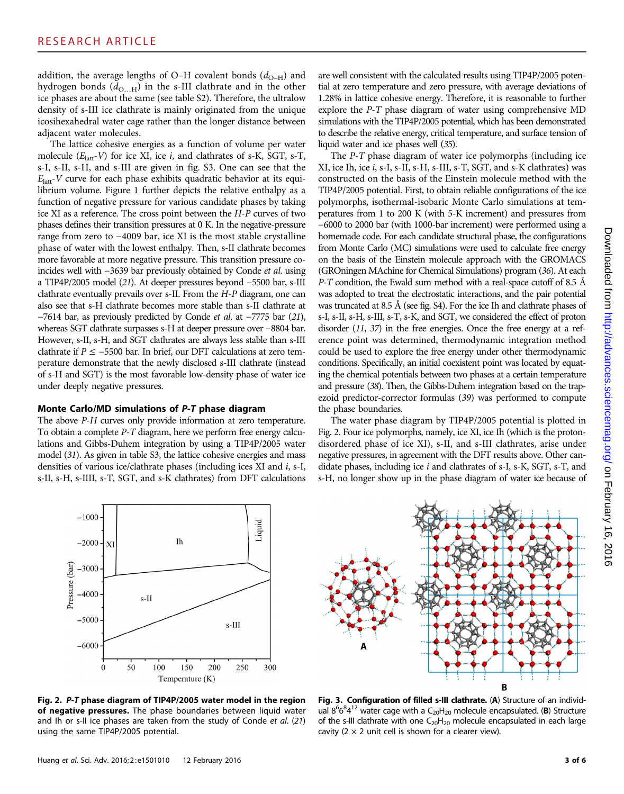addition, the average lengths of O–H covalent bonds  $(d_{O-H})$  and hydrogen bonds  $(d_{\text{O}...H})$  in the s-III clathrate and in the other ice phases are about the same (see table S2). Therefore, the ultralow density of s-III ice clathrate is mainly originated from the unique icosihexahedral water cage rather than the longer distance between adjacent water molecules.

The lattice cohesive energies as a function of volume per water molecule  $(E<sub>latt</sub>-V)$  for ice XI, ice *i*, and clathrates of s-K, SGT, s-T, s-I, s-II, s-H, and s-III are given in fig. S3. One can see that the  $E<sub>latt</sub>$ -V curve for each phase exhibits quadratic behavior at its equilibrium volume. Figure 1 further depicts the relative enthalpy as a function of negative pressure for various candidate phases by taking ice XI as a reference. The cross point between the H-P curves of two phases defines their transition pressures at 0 K. In the negative-pressure range from zero to −4009 bar, ice XI is the most stable crystalline phase of water with the lowest enthalpy. Then, s-II clathrate becomes more favorable at more negative pressure. This transition pressure coincides well with −3639 bar previously obtained by Conde et al. using a TIP4P/2005 model (21). At deeper pressures beyond −5500 bar, s-III clathrate eventually prevails over s-II. From the H-P diagram, one can also see that s-H clathrate becomes more stable than s-II clathrate at −7614 bar, as previously predicted by Conde et al. at −7775 bar (21), whereas SGT clathrate surpasses s-H at deeper pressure over −8804 bar. However, s-II, s-H, and SGT clathrates are always less stable than s-III clathrate if  $P \le -5500$  bar. In brief, our DFT calculations at zero temperature demonstrate that the newly disclosed s-III clathrate (instead of s-H and SGT) is the most favorable low-density phase of water ice under deeply negative pressures.

#### Monte Carlo/MD simulations of P-T phase diagram

The above P-H curves only provide information at zero temperature. To obtain a complete P-T diagram, here we perform free energy calculations and Gibbs-Duhem integration by using a TIP4P/2005 water model (31). As given in table S3, the lattice cohesive energies and mass densities of various ice/clathrate phases (including ices XI and i, s-I, s-II, s-H, s-IIII, s-T, SGT, and s-K clathrates) from DFT calculations are well consistent with the calculated results using TIP4P/2005 potential at zero temperature and zero pressure, with average deviations of 1.28% in lattice cohesive energy. Therefore, it is reasonable to further explore the P-T phase diagram of water using comprehensive MD simulations with the TIP4P/2005 potential, which has been demonstrated to describe the relative energy, critical temperature, and surface tension of liquid water and ice phases well (35).

The P-T phase diagram of water ice polymorphs (including ice XI, ice Ih, ice i, s-I, s-II, s-H, s-III, s-T, SGT, and s-K clathrates) was constructed on the basis of the Einstein molecule method with the TIP4P/2005 potential. First, to obtain reliable configurations of the ice polymorphs, isothermal-isobaric Monte Carlo simulations at temperatures from 1 to 200 K (with 5-K increment) and pressures from −6000 to 2000 bar (with 1000-bar increment) were performed using a homemade code. For each candidate structural phase, the configurations from Monte Carlo (MC) simulations were used to calculate free energy on the basis of the Einstein molecule approach with the GROMACS (GROningen MAchine for Chemical Simulations) program (36). At each  $P$ -T condition, the Ewald sum method with a real-space cutoff of 8.5 Å was adopted to treat the electrostatic interactions, and the pair potential was truncated at 8.5 Å (see fig. S4). For the ice Ih and clathrate phases of s-I, s-II, s-H, s-III, s-T, s-K, and SGT, we considered the effect of proton disorder (11, 37) in the free energies. Once the free energy at a reference point was determined, thermodynamic integration method could be used to explore the free energy under other thermodynamic conditions. Specifically, an initial coexistent point was located by equating the chemical potentials between two phases at a certain temperature and pressure (38). Then, the Gibbs-Duhem integration based on the trapezoid predictor-corrector formulas (39) was performed to compute the phase boundaries.

The water phase diagram by TIP4P/2005 potential is plotted in Fig. 2. Four ice polymorphs, namely, ice XI, ice Ih (which is the protondisordered phase of ice XI), s-II, and s-III clathrates, arise under negative pressures, in agreement with the DFT results above. Other candidate phases, including ice  $i$  and clathrates of s-I, s-K, SGT, s-T, and s-H, no longer show up in the phase diagram of water ice because of



Fig. 2. P-T phase diagram of TIP4P/2005 water model in the region of negative pressures. The phase boundaries between liquid water and Ih or s-II ice phases are taken from the study of Conde et al. (21) using the same TIP4P/2005 potential.



Fig. 3. Configuration of filled s-III clathrate. (A) Structure of an individual  $8^66^84^{12}$  water cage with a  $C_{20}H_{20}$  molecule encapsulated. (B) Structure of the s-III clathrate with one  $C_{20}H_{20}$  molecule encapsulated in each large cavity ( $2 \times 2$  unit cell is shown for a clearer view).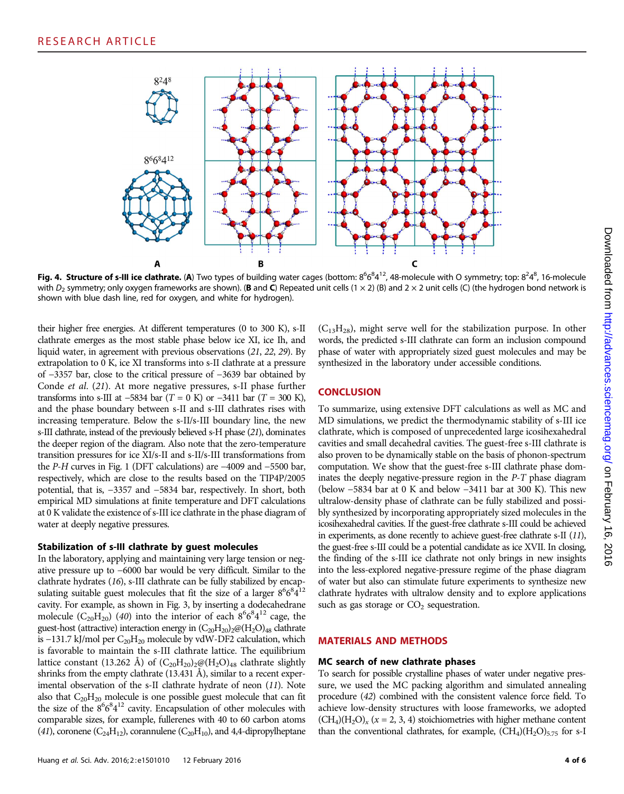

Fig. 4. Structure of s-III ice clathrate. (A) Two types of building water cages (bottom:  $8^66^41^2$ , 48-molecule with O symmetry; top:  $8^24^8$ , 16-molecule with  $D_2$  symmetry; only oxygen frameworks are shown). (**B** and **C**) Repeated unit cells (1 × 2) (B) and 2 × 2 unit cells (C) (the hydrogen bond network is shown with blue dash line, red for oxygen, and white for hydrogen).

their higher free energies. At different temperatures (0 to 300 K), s-II clathrate emerges as the most stable phase below ice XI, ice Ih, and liquid water, in agreement with previous observations (21, 22, 29). By extrapolation to 0 K, ice XI transforms into s-II clathrate at a pressure of −3357 bar, close to the critical pressure of −3639 bar obtained by Conde et al. (21). At more negative pressures, s-II phase further transforms into s-III at −5834 bar (T = 0 K) or −3411 bar (T = 300 K), and the phase boundary between s-II and s-III clathrates rises with increasing temperature. Below the s-II/s-III boundary line, the new s-III clathrate, instead of the previously believed s-H phase (21), dominates the deeper region of the diagram. Also note that the zero-temperature transition pressures for ice XI/s-II and s-II/s-III transformations from the P-H curves in Fig. 1 (DFT calculations) are −4009 and −5500 bar, respectively, which are close to the results based on the TIP4P/2005 potential, that is, −3357 and −5834 bar, respectively. In short, both empirical MD simulations at finite temperature and DFT calculations at 0 K validate the existence of s-III ice clathrate in the phase diagram of water at deeply negative pressures.

#### Stabilization of s-III clathrate by guest molecules

In the laboratory, applying and maintaining very large tension or negative pressure up to −6000 bar would be very difficult. Similar to the clathrate hydrates (16), s-III clathrate can be fully stabilized by encapsulating suitable guest molecules that fit the size of a larger  $8^6 6^8 4^{12}$ cavity. For example, as shown in Fig. 3, by inserting a dodecahedrane molecule  $(C_{20}H_{20})$  (40) into the interior of each  $8^66^84^{12}$  cage, the guest-host (attractive) interaction energy in  $(C_{20}H_{20})_2\omega(H_2O)_{48}$  clathrate is  $-131.7$  kJ/mol per C<sub>20</sub>H<sub>20</sub> molecule by vdW-DF2 calculation, which is favorable to maintain the s-III clathrate lattice. The equilibrium lattice constant (13.262 Å) of  $(C_{20}H_{20})_{2}\omega(H_{2}O)_{48}$  clathrate slightly shrinks from the empty clathrate (13.431 Å), similar to a recent experimental observation of the s-II clathrate hydrate of neon (11). Note also that  $C_{20}H_{20}$  molecule is one possible guest molecule that can fit the size of the  $8^66^84^{12}$  cavity. Encapsulation of other molecules with comparable sizes, for example, fullerenes with 40 to 60 carbon atoms (41), coronene ( $C_{24}H_{12}$ ), corannulene ( $C_{20}H_{10}$ ), and 4,4-dipropylheptane

 $(C_{13}H_{28})$ , might serve well for the stabilization purpose. In other words, the predicted s-III clathrate can form an inclusion compound phase of water with appropriately sized guest molecules and may be synthesized in the laboratory under accessible conditions.

### **CONCLUSION**

To summarize, using extensive DFT calculations as well as MC and MD simulations, we predict the thermodynamic stability of s-III ice clathrate, which is composed of unprecedented large icosihexahedral cavities and small decahedral cavities. The guest-free s-III clathrate is also proven to be dynamically stable on the basis of phonon-spectrum computation. We show that the guest-free s-III clathrate phase dominates the deeply negative-pressure region in the P-T phase diagram (below −5834 bar at 0 K and below −3411 bar at 300 K). This new ultralow-density phase of clathrate can be fully stabilized and possibly synthesized by incorporating appropriately sized molecules in the icosihexahedral cavities. If the guest-free clathrate s-III could be achieved in experiments, as done recently to achieve guest-free clathrate s-II (11), the guest-free s-III could be a potential candidate as ice XVII. In closing, the finding of the s-III ice clathrate not only brings in new insights into the less-explored negative-pressure regime of the phase diagram of water but also can stimulate future experiments to synthesize new clathrate hydrates with ultralow density and to explore applications such as gas storage or  $CO<sub>2</sub>$  sequestration.

#### MATERIALS AND METHODS

#### MC search of new clathrate phases

To search for possible crystalline phases of water under negative pressure, we used the MC packing algorithm and simulated annealing procedure (42) combined with the consistent valence force field. To achieve low-density structures with loose frameworks, we adopted  $(CH<sub>4</sub>)(H<sub>2</sub>O)<sub>x</sub>$  (x = 2, 3, 4) stoichiometries with higher methane content than the conventional clathrates, for example,  $(CH_4)(H_2O)_{5.75}$  for s-I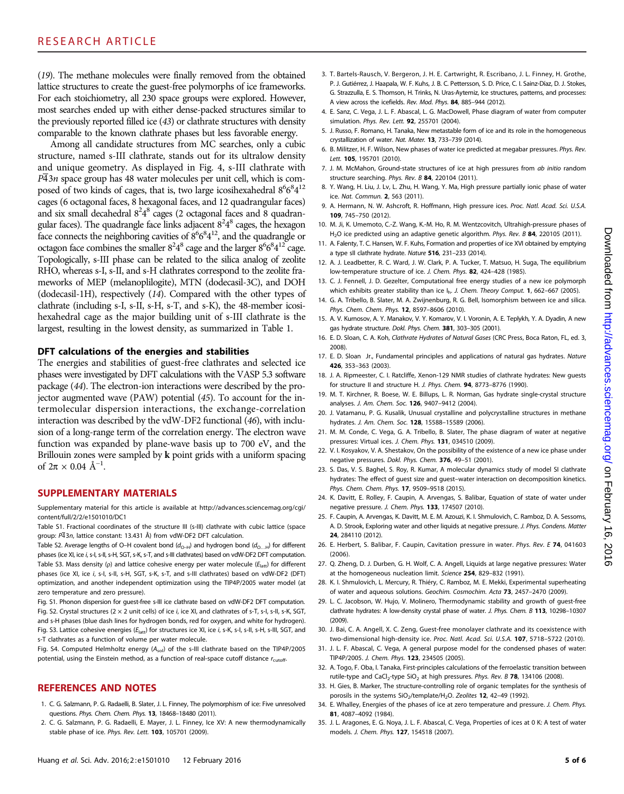(19). The methane molecules were finally removed from the obtained lattice structures to create the guest-free polymorphs of ice frameworks. For each stoichiometry, all 230 space groups were explored. However, most searches ended up with either dense-packed structures similar to the previously reported filled ice (43) or clathrate structures with density comparable to the known clathrate phases but less favorable energy.

Among all candidate structures from MC searches, only a cubic structure, named s-III clathrate, stands out for its ultralow density and unique geometry. As displayed in Fig. 4, s-III clathrate with  $P\overline{4}3n$  space group has 48 water molecules per unit cell, which is composed of two kinds of cages, that is, two large icosihexahedral  $8^66^84^{12}$ cages (6 octagonal faces, 8 hexagonal faces, and 12 quadrangular faces) and six small decahedral  $8^24^8$  cages (2 octagonal faces and 8 quadrangular faces). The quadrangle face links adjacent  $8^24^8$  cages, the hexagon face connects the neighboring cavities of  $8^6 6^8 4^{12}$ , and the quadrangle or octagon face combines the smaller  $8^24^8$  cage and the larger  $8^66^84^{12}$  cage. Topologically, s-III phase can be related to the silica analog of zeolite RHO, whereas s-I, s-II, and s-H clathrates correspond to the zeolite frameworks of MEP (melanoplilogite), MTN (dodecasil-3C), and DOH (dodecasil-1H), respectively (14). Compared with the other types of clathrate (including s-I, s-II, s-H, s-T, and s-K), the 48-member icosihexahedral cage as the major building unit of s-III clathrate is the largest, resulting in the lowest density, as summarized in Table 1.

#### DFT calculations of the energies and stabilities

The energies and stabilities of guest-free clathrates and selected ice phases were investigated by DFT calculations with the VASP 5.3 software package (44). The electron-ion interactions were described by the projector augmented wave (PAW) potential (45). To account for the intermolecular dispersion interactions, the exchange-correlation interaction was described by the vdW-DF2 functional (46), with inclusion of a long-range term of the correlation energy. The electron wave function was expanded by plane-wave basis up to 700 eV, and the Brillouin zones were sampled by *k* point grids with a uniform spacing of  $2\pi \times 0.04$  Å<sup>-1</sup>.

#### SUPPLEMENTARY MATERIALS

Supplementary material for this article is available at [http://advances.sciencemag.org/cgi/](http://advances.sciencemag.org/cgi/content/full/2/2/e1501010/DC1) [content/full/2/2/e1501010/DC1](http://advances.sciencemag.org/cgi/content/full/2/2/e1501010/DC1)

Table S1. Fractional coordinates of the structure III (s-III) clathrate with cubic lattice (space group:  $P\overline{4}3n$ , lattice constant: 13.431 Å) from vdW-DF2 DFT calculation.

Table S2. Average lengths of O–H covalent bond ( $d_{O-H}$ ) and hydrogen bond ( $d_{O...H}$ ) for different phases (ice XI, ice i, s-I, s-II, s-H, SGT, s-K, s-T, and s-III clathrates) based on vdW-DF2 DFT computation. Table S3. Mass density (p) and lattice cohesive energy per water molecule ( $E<sub>latt</sub>$ ) for different phases (ice XI, ice i, s-I, s-II, s-H, SGT, s-K, s-T, and s-III clathrates) based on vdW-DF2 (DFT) optimization, and another independent optimization using the TIP4P/2005 water model (at zero temperature and zero pressure).

Fig. S1. Phonon dispersion for guest-free s-III ice clathrate based on vdW-DF2 DFT computation. Fig. S2. Crystal structures ( $2 \times 2$  unit cells) of ice i, ice XI, and clathrates of s-T, s-I, s-II, s-K, SGT, and s-H phases (blue dash lines for hydrogen bonds, red for oxygen, and white for hydrogen). Fig. S3. Lattice cohesive energies ( $E_{latt}$ ) for structures ice XI, ice i, s-K, s-I, s-II, s-H, s-III, SGT, and s-T clathrates as a function of volume per water molecule.

Fig. S4. Computed Helmholtz energy  $(A_{sol})$  of the s-III clathrate based on the TIP4P/2005 potential, using the Einstein method, as a function of real-space cutoff distance  $r_{\text{cutoff}}$ 

#### REFERENCES AND NOTES

- 1. C. G. Salzmann, P. G. Radaelli, B. Slater, J. L. Finney, The polymorphism of ice: Five unresolved questions. Phys. Chem. Chem. Phys. 13, 18468–18480 (2011).
- 2. C. G. Salzmann, P. G. Radaelli, E. Mayer, J. L. Finney, Ice XV: A new thermodynamically stable phase of ice. Phys. Rev. Lett. 103, 105701 (2009).
- 3. T. Bartels-Rausch, V. Bergeron, J. H. E. Cartwright, R. Escribano, J. L. Finney, H. Grothe, P. J. Gutiérrez, J. Haapala, W. F. Kuhs, J. B. C. Pettersson, S. D. Price, C. I. Sainz-Díaz, D. J. Stokes, G. Strazzulla, E. S. Thomson, H. Trinks, N. Uras-Aytemiz, Ice structures, patterns, and processes: A view across the icefields. Rev. Mod. Phys. 84, 885–944 (2012).
- 4. E. Sanz, C. Vega, J. L. F. Abascal, L. G. MacDowell, Phase diagram of water from computer simulation. Phys. Rev. Lett. **92**, 255701 (2004).
- 5. J. Russo, F. Romano, H. Tanaka, New metastable form of ice and its role in the homogeneous crystallization of water. Nat. Mater. 13, 733–739 (2014).
- 6. B. Militzer, H. F. Wilson, New phases of water ice predicted at megabar pressures. Phys. Rev. Lett. 105, 195701 (2010).
- 7. J. M. McMahon, Ground-state structures of ice at high pressures from ab initio random structure searching. Phys. Rev. B 84, 220104 (2011).
- 8. Y. Wang, H. Liu, J. Lv, L. Zhu, H. Wang, Y. Ma, High pressure partially ionic phase of water ice. Nat. Commun. 2, 563 (2011).
- 9. A. Hermann, N. W. Ashcroft, R. Hoffmann, High pressure ices. Proc. Natl. Acad. Sci. U.S.A. 109, 745–750 (2012).
- 10. M. Ji, K. Umemoto, C.-Z. Wang, K.-M. Ho, R. M. Wentzcovitch, Ultrahigh-pressure phases of H<sub>2</sub>O ice predicted using an adaptive genetic algorithm. Phys. Rev. B 84, 220105 (2011).
- 11. A. Falenty, T. C. Hansen, W. F. Kuhs, Formation and properties of ice XVI obtained by emptying a type sII clathrate hydrate. Nature 516, 231–233 (2014).
- 12. A. J. Leadbetter, R. C. Ward, J. W. Clark, P. A. Tucker, T. Matsuo, H. Suga, The equilibrium low-temperature structure of ice. J. Chem. Phys. 82, 424–428 (1985).
- 13. C. J. Fennell, J. D. Gezelter, Computational free energy studies of a new ice polymorph which exhibits greater stability than ice I<sub>h</sub>. J. Chem. Theory Comput. **1**, 662–667 (2005).
- 14. G. A. Tribello, B. Slater, M. A. Zwijnenburg, R. G. Bell, Isomorphism between ice and silica. Phys. Chem. Chem. Phys. 12, 8597–8606 (2010).
- 15. A. V. Kurnosov, A. Y. Manakov, V. Y. Komarov, V. I. Voronin, A. E. Teplykh, Y. A. Dyadin, A new gas hydrate structure. Dokl. Phys. Chem. 381, 303–305 (2001).
- 16. E. D. Sloan, C. A. Koh, Clathrate Hydrates of Natural Gases (CRC Press, Boca Raton, FL, ed. 3, 2008).
- 17. E. D. Sloan Jr., Fundamental principles and applications of natural gas hydrates. Nature 426, 353–363 (2003).
- 18. J. A. Ripmeester, C. I. Ratcliffe, Xenon-129 NMR studies of clathrate hydrates: New guests for structure II and structure H. J. Phys. Chem. 94, 8773–8776 (1990).
- 19. M. T. Kirchner, R. Boese, W. E. Billups, L. R. Norman, Gas hydrate single-crystal structure analyses. J. Am. Chem. Soc. 126, 9407–9412 (2004).
- 20. J. Vatamanu, P. G. Kusalik, Unusual crystalline and polycrystalline structures in methane hydrates. J. Am. Chem. Soc. 128, 15588-15589 (2006).
- 21. M. M. Conde, C. Vega, G. A. Tribello, B. Slater, The phase diagram of water at negative pressures: Virtual ices. J. Chem. Phys. 131, 034510 (2009).
- 22. V. I. Kosyakov, V. A. Shestakov, On the possibility of the existence of a new ice phase under negative pressures. Dokl. Phys. Chem. 376, 49–51 (2001).
- 23. S. Das, V. S. Baghel, S. Roy, R. Kumar, A molecular dynamics study of model SI clathrate hydrates: The effect of guest size and guest–water interaction on decomposition kinetics. Phys. Chem. Chem. Phys. 17, 9509–9518 (2015).
- 24. K. Davitt, E. Rolley, F. Caupin, A. Arvengas, S. Balibar, Equation of state of water under negative pressure. J. Chem. Phys. 133, 174507 (2010).
- 25. F. Caupin, A. Arvengas, K. Davitt, M. E. M. Azouzi, K. I. Shmulovich, C. Ramboz, D. A. Sessoms, A. D. Strook, Exploring water and other liquids at negative pressure. J. Phys. Condens. Matter 24, 284110 (2012).
- 26. E. Herbert, S. Balibar, F. Caupin, Cavitation pressure in water. Phys. Rev. E 74, 041603  $(2006)$
- 27. Q. Zheng, D. J. Durben, G. H. Wolf, C. A. Angell, Liquids at large negative pressures: Water at the homogeneous nucleation limit. Science 254, 829–832 (1991).
- 28. K. I. Shmulovich, L. Mercury, R. Thiéry, C. Ramboz, M. E. Mekki, Experimental superheating of water and aqueous solutions. Geochim. Cosmochim. Acta 73, 2457–2470 (2009).
- 29. L. C. Jacobson, W. Hujo, V. Molinero, Thermodynamic stability and growth of guest-free clathrate hydrates: A low-density crystal phase of water. J. Phys. Chem. B 113, 10298-10307 (2009).
- 30. J. Bai, C. A. Angell, X. C. Zeng, Guest-free monolayer clathrate and its coexistence with two-dimensional high-density ice. Proc. Natl. Acad. Sci. U.S.A. 107, 5718–5722 (2010).
- 31. J. L. F. Abascal, C. Vega, A general purpose model for the condensed phases of water: TIP4P/2005. J. Chem. Phys. 123, 234505 (2005).
- 32. A. Togo, F. Oba, I. Tanaka, First-principles calculations of the ferroelastic transition between rutile-type and CaCl<sub>2</sub>-type SiO<sub>2</sub> at high pressures. Phys. Rev. B 78, 134106 (2008).
- 33. H. Gies, B. Marker, The structure-controlling role of organic templates for the synthesis of porosils in the systems SiO<sub>2</sub>/template/H<sub>2</sub>O. Zeolites 12, 42-49 (1992).
- 34. E. Whalley, Energies of the phases of ice at zero temperature and pressure. J. Chem. Phys. 81, 4087–4092 (1984).
- 35. J. L. Aragones, E. G. Noya, J. L. F. Abascal, C. Vega, Properties of ices at 0 K: A test of water models. J. Chem. Phys. 127, 154518 (2007).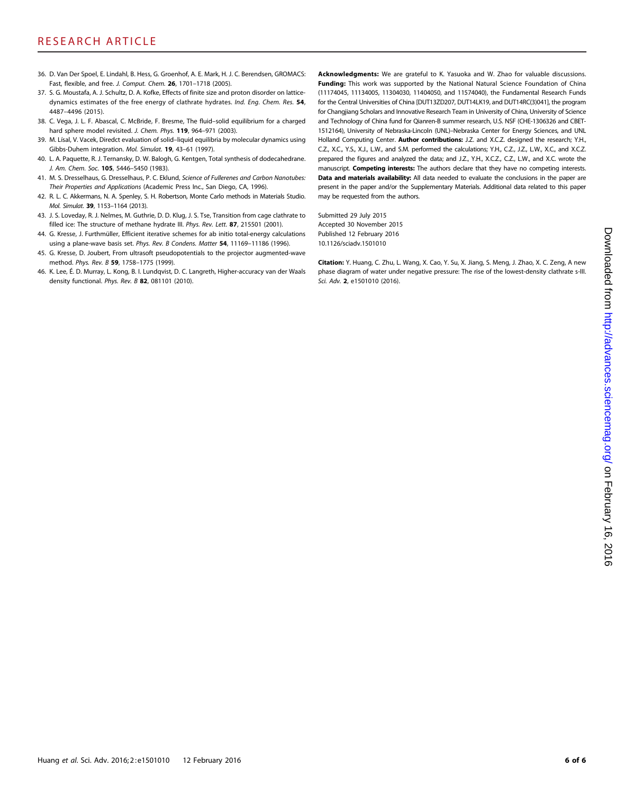- 36. D. Van Der Spoel, E. Lindahl, B. Hess, G. Groenhof, A. E. Mark, H. J. C. Berendsen, GROMACS: Fast, flexible, and free. J. Comput. Chem. 26, 1701–1718 (2005).
- 37. S. G. Moustafa, A. J. Schultz, D. A. Kofke, Effects of finite size and proton disorder on latticedynamics estimates of the free energy of clathrate hydrates. Ind. Eng. Chem. Res. 54, 4487–4496 (2015).
- 38. C. Vega, J. L. F. Abascal, C. McBride, F. Bresme, The fluid–solid equilibrium for a charged hard sphere model revisited. J. Chem. Phys. 119, 964-971 (2003).
- 39. M. Lísal, V. Vacek, Diredct evaluation of solid–liquid equilibria by molecular dynamics using Gibbs-Duhem integration. Mol. Simulat. 19, 43–61 (1997).
- 40. L. A. Paquette, R. J. Ternansky, D. W. Balogh, G. Kentgen, Total synthesis of dodecahedrane. J. Am. Chem. Soc. 105, 5446–5450 (1983).
- 41. M. S. Dresselhaus, G. Dresselhaus, P. C. Eklund, Science of Fullerenes and Carbon Nanotubes: Their Properties and Applications (Academic Press Inc., San Diego, CA, 1996).
- 42. R. L. C. Akkermans, N. A. Spenley, S. H. Robertson, Monte Carlo methods in Materials Studio. Mol. Simulat. 39, 1153–1164 (2013).
- 43. J. S. Loveday, R. J. Nelmes, M. Guthrie, D. D. Klug, J. S. Tse, Transition from cage clathrate to filled ice: The structure of methane hydrate III. Phys. Rev. Lett. 87, 215501 (2001).
- 44. G. Kresse, J. Furthmüller, Efficient iterative schemes for ab initio total-energy calculations using a plane-wave basis set. Phys. Rev. B Condens. Matter 54, 11169-11186 (1996).
- 45. G. Kresse, D. Joubert, From ultrasoft pseudopotentials to the projector augmented-wave method. Phys. Rev. B 59, 1758–1775 (1999).
- 46. K. Lee, É. D. Murray, L. Kong, B. I. Lundqvist, D. C. Langreth, Higher-accuracy van der Waals density functional. Phys. Rev. B 82, 081101 (2010).

Acknowledgments: We are grateful to K. Yasuoka and W. Zhao for valuable discussions. Funding: This work was supported by the National Natural Science Foundation of China (11174045, 11134005, 11304030, 11404050, and 11574040), the Fundamental Research Funds for the Central Universities of China [DUT13ZD207, DUT14LK19, and DUT14RC(3)041], the program for Changjiang Scholars and Innovative Research Team in University of China, University of Science and Technology of China fund for Qianren-B summer research, U.S. NSF (CHE-1306326 and CBET-1512164), University of Nebraska-Lincoln (UNL)–Nebraska Center for Energy Sciences, and UNL Holland Computing Center. Author contributions: J.Z. and X.C.Z. designed the research; Y.H., C.Z., X.C., Y.S., X.J., L.W., and S.M. performed the calculations; Y.H., C.Z., J.Z., L.W., X.C., and X.C.Z. prepared the figures and analyzed the data; and J.Z., Y.H., X.C.Z., C.Z., L.W., and X.C. wrote the manuscript. **Competing interests:** The authors declare that they have no competing interests. Data and materials availability: All data needed to evaluate the conclusions in the paper are present in the paper and/or the Supplementary Materials. Additional data related to this paper may be requested from the authors.

Submitted 29 July 2015 Accepted 30 November 2015 Published 12 February 2016 10.1126/sciadv.1501010

Citation: Y. Huang, C. Zhu, L. Wang, X. Cao, Y. Su, X. Jiang, S. Meng, J. Zhao, X. C. Zeng, A new phase diagram of water under negative pressure: The rise of the lowest-density clathrate s-III. Sci. Adv. 2, e1501010 (2016).